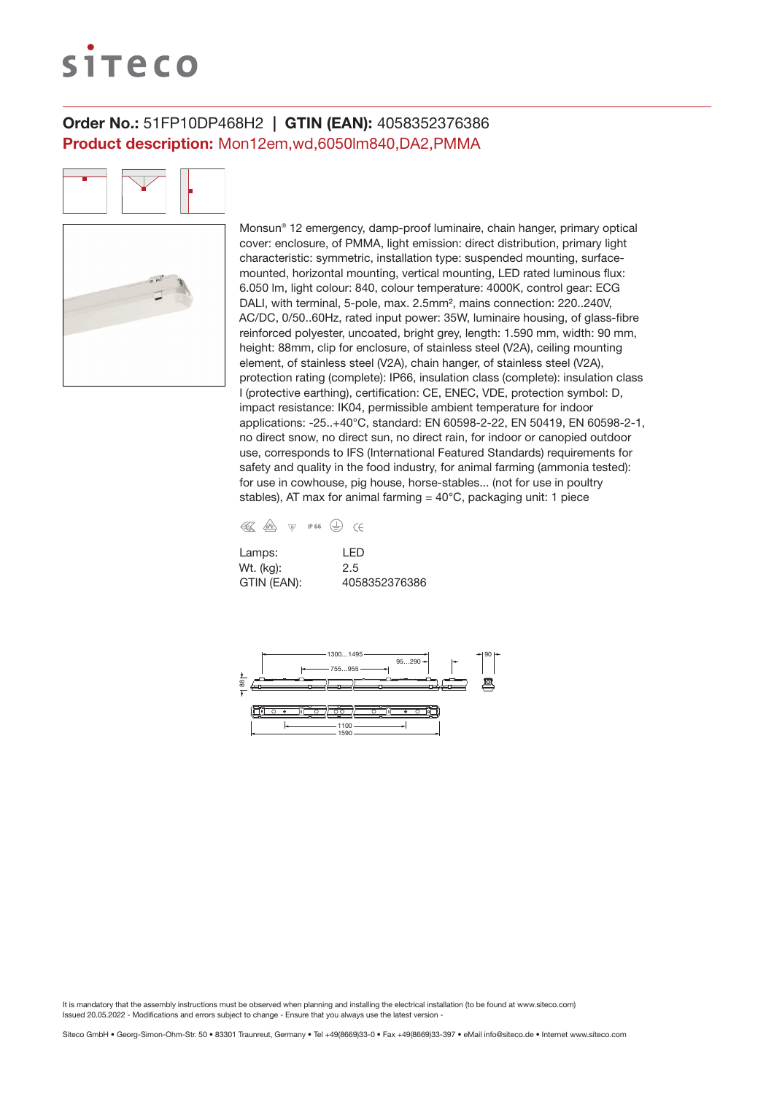# siteco

### Order No.: 51FP10DP468H2 | GTIN (EAN): 4058352376386 Product description: Mon12em,wd,6050lm840,DA2,PMMA

Monsun® 12 emergency, damp-proof luminaire, chain hanger, primary optical cover: enclosure, of PMMA, light emission: direct distribution, primary light characteristic: symmetric, installation type: suspended mounting, surfacemounted, horizontal mounting, vertical mounting, LED rated luminous flux: 6.050 lm, light colour: 840, colour temperature: 4000K, control gear: ECG DALI, with terminal, 5-pole, max. 2.5mm², mains connection: 220..240V, AC/DC, 0/50..60Hz, rated input power: 35W, luminaire housing, of glass-fibre reinforced polyester, uncoated, bright grey, length: 1.590 mm, width: 90 mm, height: 88mm, clip for enclosure, of stainless steel (V2A), ceiling mounting element, of stainless steel (V2A), chain hanger, of stainless steel (V2A), protection rating (complete): IP66, insulation class (complete): insulation class I (protective earthing), certification: CE, ENEC, VDE, protection symbol: D, impact resistance: IK04, permissible ambient temperature for indoor applications: -25..+40°C, standard: EN 60598-2-22, EN 50419, EN 60598-2-1, no direct snow, no direct sun, no direct rain, for indoor or canopied outdoor use, corresponds to IFS (International Featured Standards) requirements for safety and quality in the food industry, for animal farming (ammonia tested): for use in cowhouse, pig house, horse-stables... (not for use in poultry stables), AT max for animal farming  $= 40^{\circ}$ C, packaging unit: 1 piece

| 41. | /bY <sub>E</sub> | <b>VD</b> | IP 66 |  |
|-----|------------------|-----------|-------|--|
|     |                  |           |       |  |

| Lamps:      | I FD          |
|-------------|---------------|
| Wt. (kg):   | 2.5           |
| GTIN (EAN): | 4058352376386 |

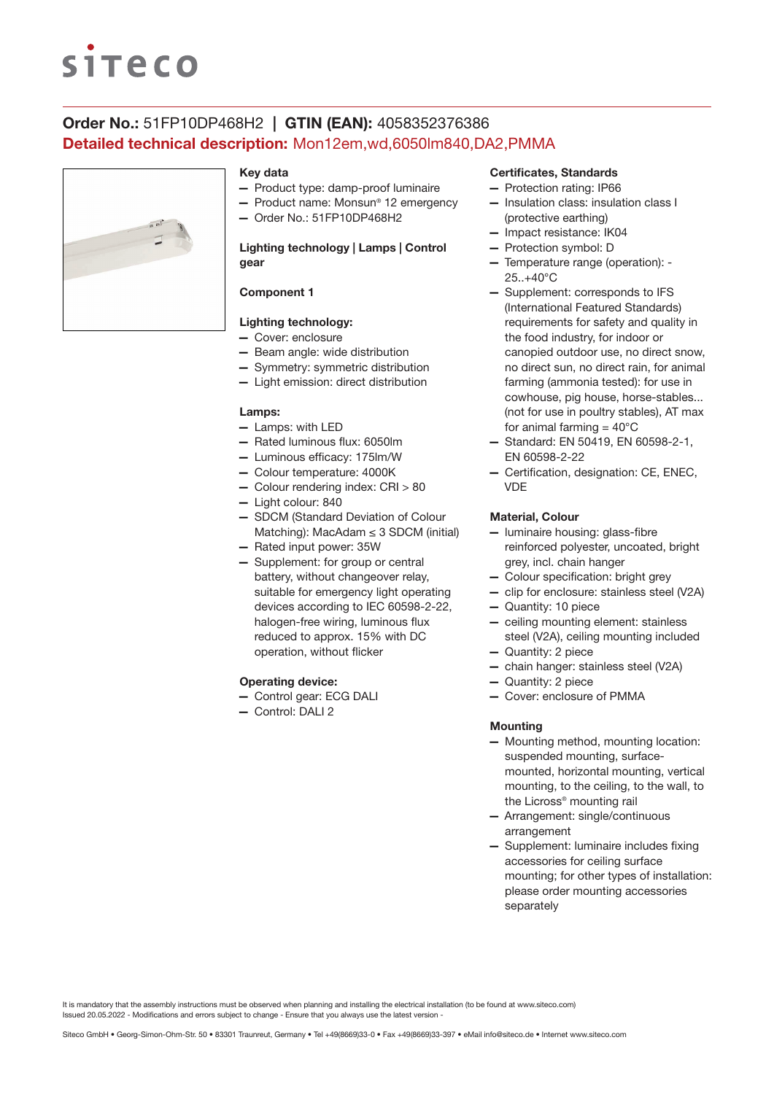# **SITECO**

### Order No.: 51FP10DP468H2 | GTIN (EAN): 4058352376386 Detailed technical description: Mon12em,wd,6050lm840,DA2,PMMA



#### Key data

- Product type: damp-proof luminaire
- Product name: Monsun® 12 emergency
- Order No.: 51FP10DP468H2

#### Lighting technology | Lamps | Control gear

#### Component 1

#### Lighting technology:

- Cover: enclosure
- Beam angle: wide distribution
- Symmetry: symmetric distribution
- Light emission: direct distribution

#### Lamps:

- Lamps: with LED
- Rated luminous flux: 6050lm
- Luminous efficacy: 175lm/W
- Colour temperature: 4000K
- Colour rendering index: CRI > 80
- Light colour: 840
- SDCM (Standard Deviation of Colour Matching): MacAdam ≤ 3 SDCM (initial)
- Rated input power: 35W
- Supplement: for group or central battery, without changeover relay, suitable for emergency light operating devices according to IEC 60598-2-22, halogen-free wiring, luminous flux reduced to approx. 15% with DC operation, without flicker

#### Operating device:

- Control gear: ECG DALI
- Control: DALI 2

#### Certificates, Standards

- Protection rating: IP66
- Insulation class: insulation class I (protective earthing)
- Impact resistance: IK04
- Protection symbol: D
- Temperature range (operation): 25..+40°C
- Supplement: corresponds to IFS (International Featured Standards) requirements for safety and quality in the food industry, for indoor or canopied outdoor use, no direct snow, no direct sun, no direct rain, for animal farming (ammonia tested): for use in cowhouse, pig house, horse-stables... (not for use in poultry stables), AT max for animal farming  $=40^{\circ}$ C
- Standard: EN 50419, EN 60598-2-1, EN 60598-2-22
- Certification, designation: CE, ENEC, **VDE**

#### Material, Colour

- luminaire housing: glass-fibre reinforced polyester, uncoated, bright grey, incl. chain hanger
- Colour specification: bright grey
- clip for enclosure: stainless steel (V2A)
- Quantity: 10 piece
- ceiling mounting element: stainless steel (V2A), ceiling mounting included
- Quantity: 2 piece
- chain hanger: stainless steel (V2A)
- Quantity: 2 piece
	- Cover: enclosure of PMMA

#### **Mounting**

- Mounting method, mounting location: suspended mounting, surfacemounted, horizontal mounting, vertical mounting, to the ceiling, to the wall, to the Licross® mounting rail
- Arrangement: single/continuous arrangement
- Supplement: luminaire includes fixing accessories for ceiling surface mounting; for other types of installation: please order mounting accessories separately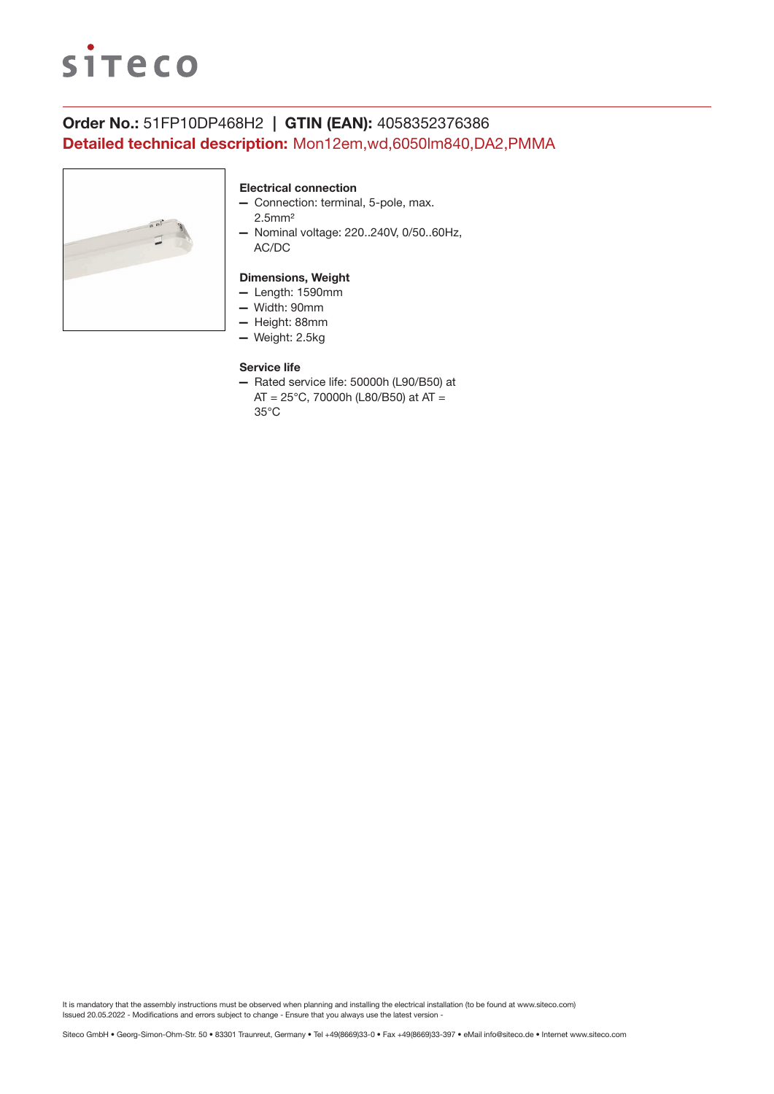

## Order No.: 51FP10DP468H2 | GTIN (EAN): 4058352376386 Detailed technical description: Mon12em,wd,6050lm840,DA2,PMMA



#### Electrical connection

- Connection: terminal, 5-pole, max. 2.5mm²
- Nominal voltage: 220..240V, 0/50..60Hz, AC/DC

#### Dimensions, Weight

- Length: 1590mm
- Width: 90mm
- Height: 88mm
- Weight: 2.5kg

#### Service life

— Rated service life: 50000h (L90/B50) at AT = 25°C, 70000h (L80/B50) at AT = 35°C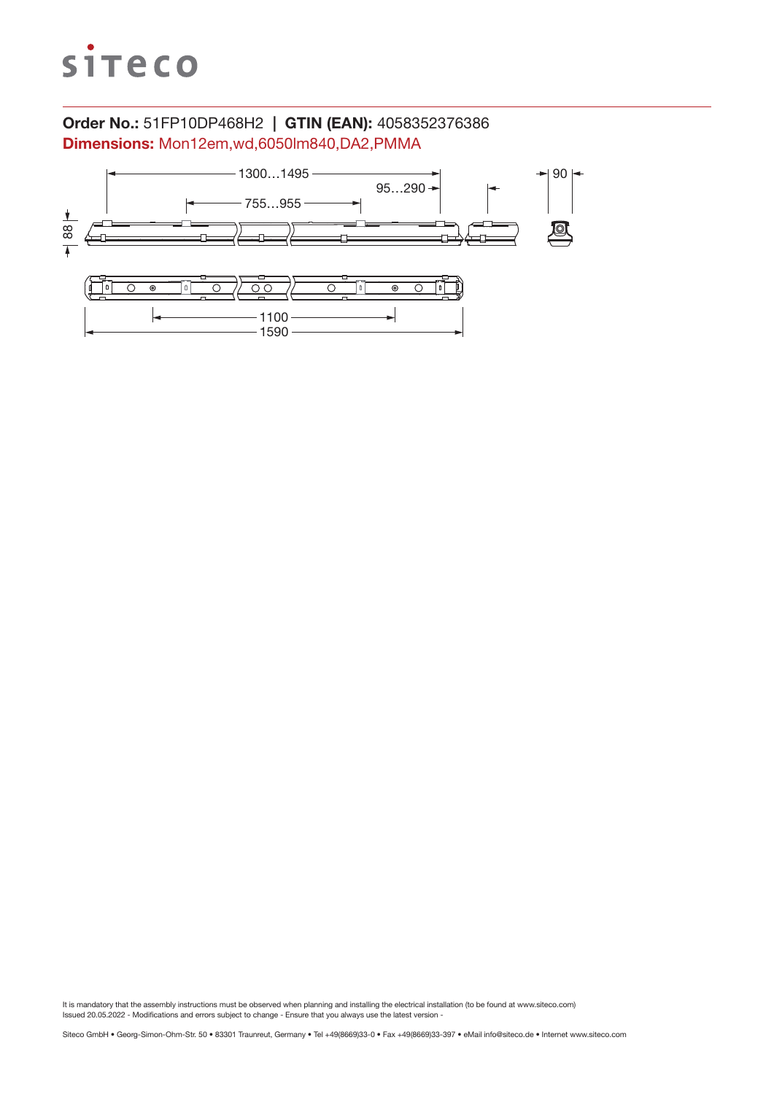

### Order No.: 51FP10DP468H2 | GTIN (EAN): 4058352376386 Dimensions: Mon12em,wd,6050lm840,DA2,PMMA